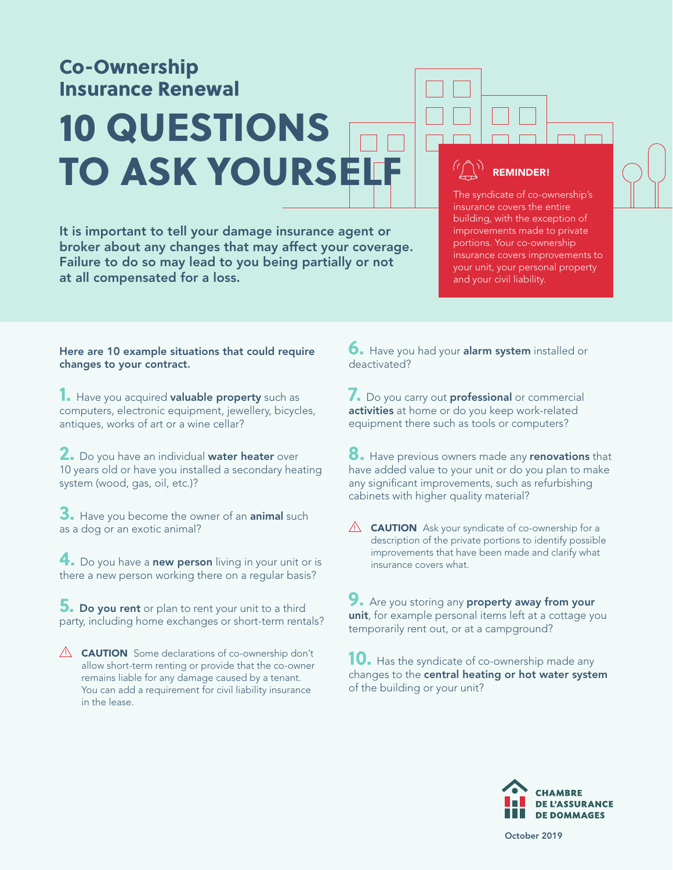# Co-Ownership Insurance Renewal 10 QUESTIONS TO ASK YOURSE

It is important to tell your damage insurance agent or broker about any changes that may affect your coverage. Failure to do so may lead to you being partially or not at all compensated for a loss.

#### REMINDER!

The syndicate of co-ownership's insurance covers the entire building, with the exception of improvements made to private portions. Your co-ownership insurance covers improvements to your unit, your personal property and your civil liability.

#### Here are 10 example situations that could require changes to your contract.

**1.** Have you acquired valuable property such as computers, electronic equipment, jewellery, bicycles, antiques, works of art or a wine cellar?

**2.** Do you have an individual water heater over 10 years old or have you installed a secondary heating system (wood, gas, oil, etc.)?

**3.** Have you become the owner of an animal such as a dog or an exotic animal?

**4.** Do you have a **new person** living in your unit or is there a new person working there on a regular basis?

**5.** Do you rent or plan to rent your unit to a third party, including home exchanges or short-term rentals?

 $\triangle$  **CAUTION** Some declarations of co-ownership don't allow short-term renting or provide that the co-owner remains liable for any damage caused by a tenant. You can add a requirement for civil liability insurance in the lease.

**6.** Have you had your **alarm system** installed or deactivated?

**7.** Do you carry out **professional** or commercial activities at home or do you keep work-related equipment there such as tools or computers?

**8.** Have previous owners made any **renovations** that have added value to your unit or do you plan to make any significant improvements, such as refurbishing cabinets with higher quality material?

 $\triangle$  **CAUTION** Ask your syndicate of co-ownership for a description of the private portions to identify possible improvements that have been made and clarify what insurance covers what.

**9.** Are you storing any **property away from your** unit, for example personal items left at a cottage you temporarily rent out, or at a campground?

**10.** Has the syndicate of co-ownership made any changes to the central heating or hot water system of the building or your unit?